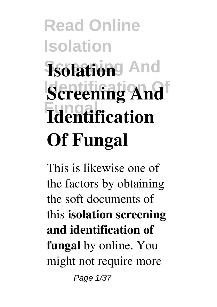# **Read Online Isolation**  $Isofation<sup>g</sup>$  And **Screening And Fungal Identification Of Fungal**

This is likewise one of the factors by obtaining the soft documents of this **isolation screening and identification of fungal** by online. You might not require more Page 1/37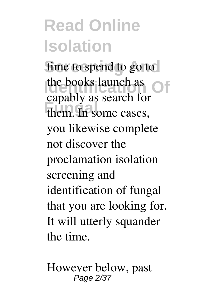fime to spend to go to the books launch as them. In some cases, capably as search for you likewise complete not discover the proclamation isolation screening and identification of fungal that you are looking for. It will utterly squander the time.

However below, past Page 2/37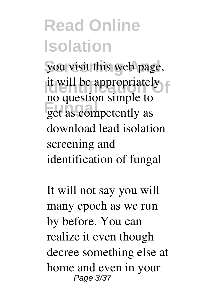you visit this web page, it will be appropriately **Fungal** get as competently as no question simple to download lead isolation screening and identification of fungal

It will not say you will many epoch as we run by before. You can realize it even though decree something else at home and even in your Page 3/37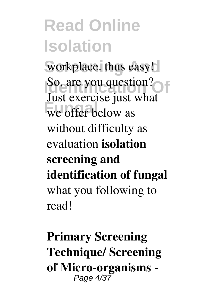workplace. thus easy! **I**so, are you question? we offer below as Just exercise just what without difficulty as evaluation **isolation screening and identification of fungal** what you following to read!

**Primary Screening Technique/ Screening of Micro-organisms -** Page 4/37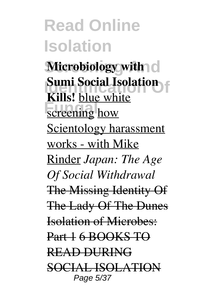**Microbiology with Identifier Social Isolation Fungal** how **Kills!** blue white Scientology harassment works - with Mike Rinder *Japan: The Age Of Social Withdrawal* The Missing Identity Of The Lady Of The Dunes Isolation of Microbes: Part 1 6 BOOKS TO READ DURING SOCIAL ISOLATION Page 5/37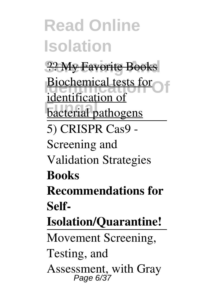**Read Online Isolation Screening And** ?? My Favorite Books **Identification Of** Biochemical tests for **Funnitude**<br> **bacterial** pathogens identification of 5) CRISPR Cas9 - Screening and Validation Strategies **Books Recommendations for Self-Isolation/Quarantine!** Movement Screening, Testing, and Assessment, with Gray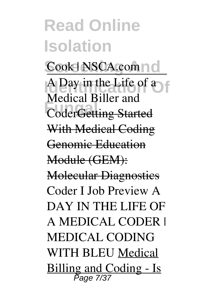Cook | NSCA.com | 0 **Identified In the Life of a Fundal Different and CoderGetting Started** Medical Biller and With Medical Coding Genomic Education Module (GEM): Molecular Diagnostics Coder I Job Preview A DAY IN THE LIFE OF A MEDICAL CODER | MEDICAL CODING WITH BLEU Medical Billing and Coding - Is Page 7/37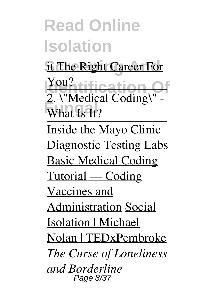it The Right Career For

**<u>You?</u>** tification Of **EXAMPLE** 2. \"Medical Coding\" -

Inside the Mayo Clinic Diagnostic Testing Labs Basic Medical Coding Tutorial — Coding Vaccines and Administration Social Isolation | Michael Nolan | TEDxPembroke *The Curse of Loneliness and Borderline* Page 8/37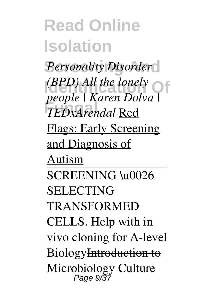$Personality Disorder$  $(BPD)$  *All the lonely*  $\bigcirc$ **Fungal** *TEDxArendal* Red *people | Karen Dolva |* Flags: Early Screening and Diagnosis of Autism SCREENING \u0026 SELECTING TRANSFORMED CELLS. Help with in

vivo cloning for A-level

BiologyIntroduction to

Microbiology Culture<br>Page 9/37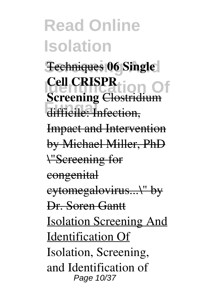**Fechniques 06 Single IDENTIFICATION OF**<br> **Screening** Clostridium **Function**, **Cell CRISPR** Impact and Intervention by Michael Miller, PhD \"Screening for congenital cytomegalovirus...\" by Dr. Soren Gantt Isolation Screening And Identification Of Isolation, Screening, and Identification of Page 10/37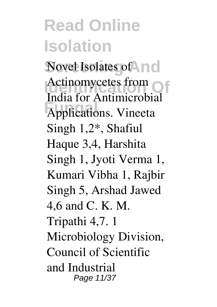Novel Isolates of **Novell** Actinomycetes from **Fungal** Applications. Vineeta India for Antimicrobial Singh 1,2\*, Shafiul Haque 3,4, Harshita Singh 1, Jyoti Verma 1, Kumari Vibha 1, Rajbir Singh 5, Arshad Jawed 4,6 and C. K. M. Tripathi 4,7. 1 Microbiology Division, Council of Scientific and Industrial Page 11/37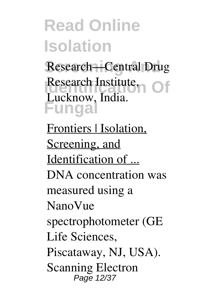Research—Central Drug Research Institute, Of **Fungal** Lucknow, India.

Frontiers | Isolation, Screening, and Identification of ... DNA concentration was measured using a NanoVue spectrophotometer (GE Life Sciences, Piscataway, NJ, USA). Scanning Electron Page 12/37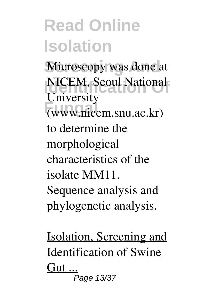Microscopy was done at **Identification National Fungal** (www.nicem.snu.ac.kr) University to determine the morphological characteristics of the isolate MM11. Sequence analysis and phylogenetic analysis.

Isolation, Screening and Identification of Swine Gut ... Page 13/37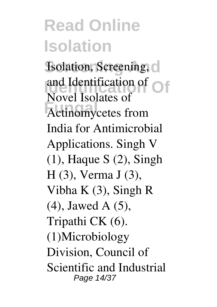**Isolation, Screening, C Identification Of** and Identification of **Fungal** Actinomycetes from Novel Isolates of India for Antimicrobial Applications. Singh V (1), Haque S (2), Singh H (3), Verma J (3), Vibha K (3), Singh R (4), Jawed A (5), Tripathi CK (6). (1)Microbiology Division, Council of Scientific and Industrial Page 14/37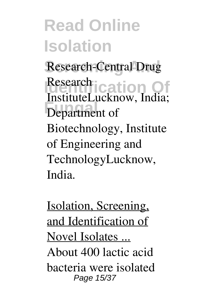Research-Central Drug Research **Identification** Of **Function** InstituteLucknow, India; Biotechnology, Institute of Engineering and TechnologyLucknow, India.

Isolation, Screening, and Identification of Novel Isolates ... About 400 lactic acid bacteria were isolated Page 15/37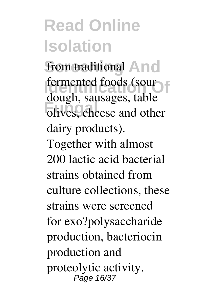from traditional And **I**dentification **Identification Fungal**, salasages, taste dough, sausages, table dairy products). Together with almost 200 lactic acid bacterial strains obtained from culture collections, these strains were screened for exo?polysaccharide production, bacteriocin production and proteolytic activity. Page 16/37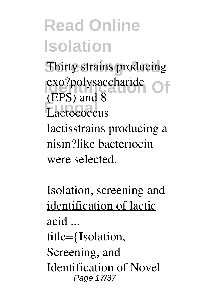**Thirty strains producing** exo?polysaccharide<br> **CEDS**) and <sup>8</sup> Lactococcus (EPS) and 8 lactisstrains producing a nisin?like bacteriocin were selected.

Isolation, screening and identification of lactic acid ... title={Isolation, Screening, and Identification of Novel Page 17/37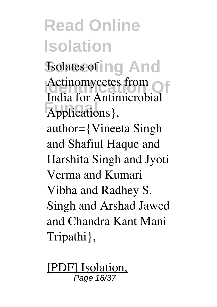**Read Online Isolation Isolates of ing And** Actinomycetes from **Funda** For Final India for Antimicrobial author={Vineeta Singh and Shafiul Haque and Harshita Singh and Jyoti Verma and Kumari Vibha and Radhey S. Singh and Arshad Jawed and Chandra Kant Mani Tripathi},

[PDF] Isolation, Page 18/37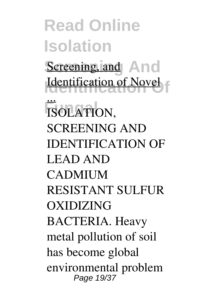**Read Online Isolation** Screening and And **Identification Of** Identification of Novel **FISOLATION,** ... SCREENING AND IDENTIFICATION OF LEAD AND **CADMIUM** RESISTANT SULFUR OXIDIZING BACTERIA. Heavy metal pollution of soil has become global environmental problem Page 19/37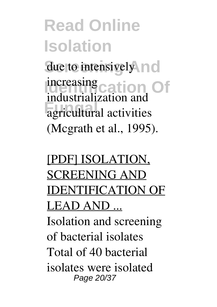due to intensively no increasing cation Of **Fungal** agricultural activities industrialization and (Mcgrath et al., 1995).

#### [PDF] ISOLATION, SCREENING AND IDENTIFICATION OF LEAD AND ... Isolation and screening of bacterial isolates Total of 40 bacterial isolates were isolated Page 20/37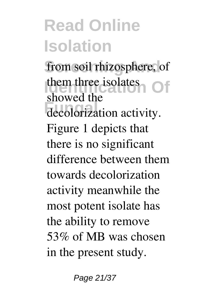from soil rhizosphere, of them three isolates **Of** decolorization activity. showed the Figure 1 depicts that there is no significant difference between them towards decolorization activity meanwhile the most potent isolate has the ability to remove 53% of MB was chosen in the present study.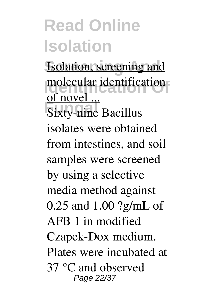**Isolation**, screening and **Indeed and identification Function**<br>Sixty-nine Bacillus of novel ... isolates were obtained from intestines, and soil samples were screened by using a selective media method against 0.25 and 1.00 ?g/mL of AFB 1 in modified Czapek-Dox medium. Plates were incubated at 37 °C and observed Page 22/37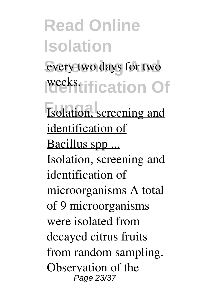**Read Online Isolation** every two days for two **Identification Of Isolation**, screening and identification of Bacillus spp ... Isolation, screening and identification of microorganisms A total of 9 microorganisms were isolated from decayed citrus fruits from random sampling. Observation of the Page 23/37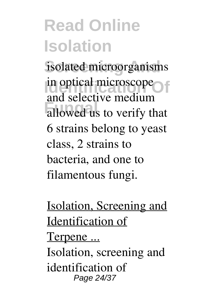isolated microorganisms in optical microscope allowed us to verify that and selective medium 6 strains belong to yeast class, 2 strains to bacteria, and one to filamentous fungi.

Isolation, Screening and Identification of Terpene ... Isolation, screening and identification of Page 24/37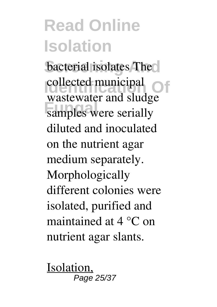bacterial isolates The **IDENTIFICATE COLLECTED** Of **Fundal** and state wastewater and sludge diluted and inoculated on the nutrient agar medium separately. Morphologically different colonies were isolated, purified and maintained at 4 °C on nutrient agar slants.

Isolation, Page 25/37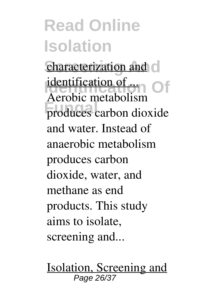characterization and c **<u>Identification of</u>** produces carbon dioxide Aerobic metabolism and water. Instead of anaerobic metabolism produces carbon dioxide, water, and methane as end products. This study aims to isolate, screening and...

Isolation, Screening and Page 26/37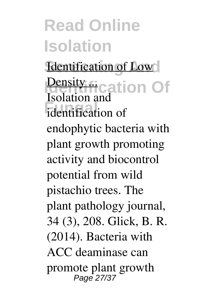**Identification of Low Density rights** in Of *identification* of Isolation and endophytic bacteria with plant growth promoting activity and biocontrol potential from wild pistachio trees. The plant pathology journal, 34 (3), 208. Glick, B. R. (2014). Bacteria with ACC deaminase can promote plant growth Page 27/37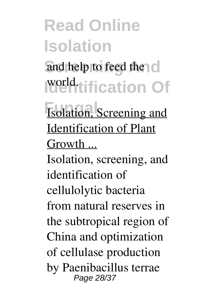and help to feed the c **Identification Of** world.

**Isolation**, Screening and Identification of Plant Growth ...

Isolation, screening, and identification of cellulolytic bacteria from natural reserves in the subtropical region of China and optimization of cellulase production by Paenibacillus terrae Page 28/37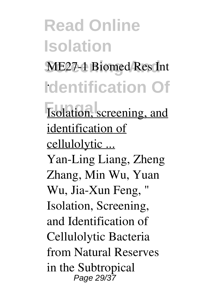**Read Online Isolation** ME27-1 Biomed Res Int **Identification Of** . **Isolation**, screening, and identification of cellulolytic ... Yan-Ling Liang, Zheng Zhang, Min Wu, Yuan Wu, Jia-Xun Feng, " Isolation, Screening, and Identification of Cellulolytic Bacteria from Natural Reserves in the Subtropical Page 29/37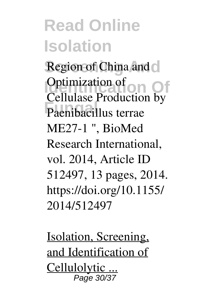Region of China and  $\circ$ **Optimization of Off** Paenibacillus terrae Cellulase Production by ME27-1 ", BioMed Research International, vol. 2014, Article ID 512497, 13 pages, 2014. https://doi.org/10.1155/ 2014/512497

Isolation, Screening, and Identification of Cellulolytic ... Page 30/37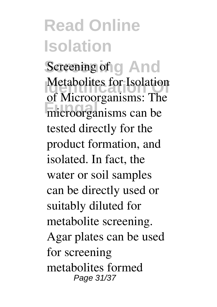Screening of **g** And **Identification**<br> **IDEN**<br> **IDENTIFICATION Fungal** microorganisms can be of Microorganisms: The tested directly for the product formation, and isolated. In fact, the water or soil samples can be directly used or suitably diluted for metabolite screening. Agar plates can be used for screening metabolites formed Page 31/37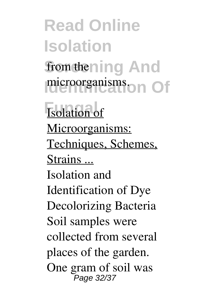**Read Online Isolation** from thening And microorganisms<sub>on</sub> Of **Isolation** of Microorganisms: Techniques, Schemes, Strains ... Isolation and Identification of Dye Decolorizing Bacteria Soil samples were collected from several places of the garden. One gram of soil was Page 32/37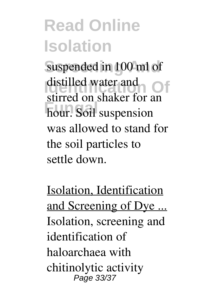suspended in 100 ml of **I**distified water and **Of** stirred on shaker for an **Function**<br> **Function** distilled water and was allowed to stand for the soil particles to settle down.

Isolation, Identification and Screening of Dye ... Isolation, screening and identification of haloarchaea with chitinolytic activity Page 33/37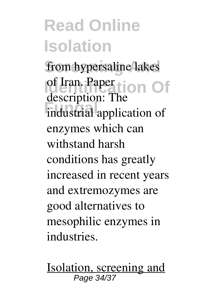from hypersaline lakes of Iran. Paper tion Of **Fundal** application of description: The enzymes which can withstand harsh conditions has greatly increased in recent years and extremozymes are good alternatives to mesophilic enzymes in industries.

Isolation, screening and Page 34/37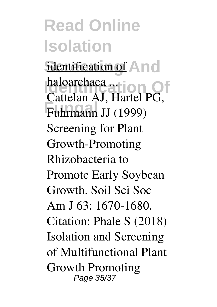identification of And **<u>Inaloarchaea ...</u>**<br>Cattelan AJ, Hartel PG, **Fungal** Fuhrmann JJ (1999) haloarchaea ... Screening for Plant Growth-Promoting Rhizobacteria to Promote Early Soybean Growth. Soil Sci Soc Am J 63: 1670-1680. Citation: Phale S (2018) Isolation and Screening of Multifunctional Plant Growth Promoting Page 35/37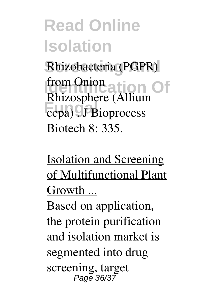Rhizobacteria (PGPR) from Onion ation Of **Fungal** . J Bioprocess Rhizosphere (Allium Biotech 8: 335.

Isolation and Screening of Multifunctional Plant Growth ...

Based on application, the protein purification and isolation market is segmented into drug screening, target Page 36/37